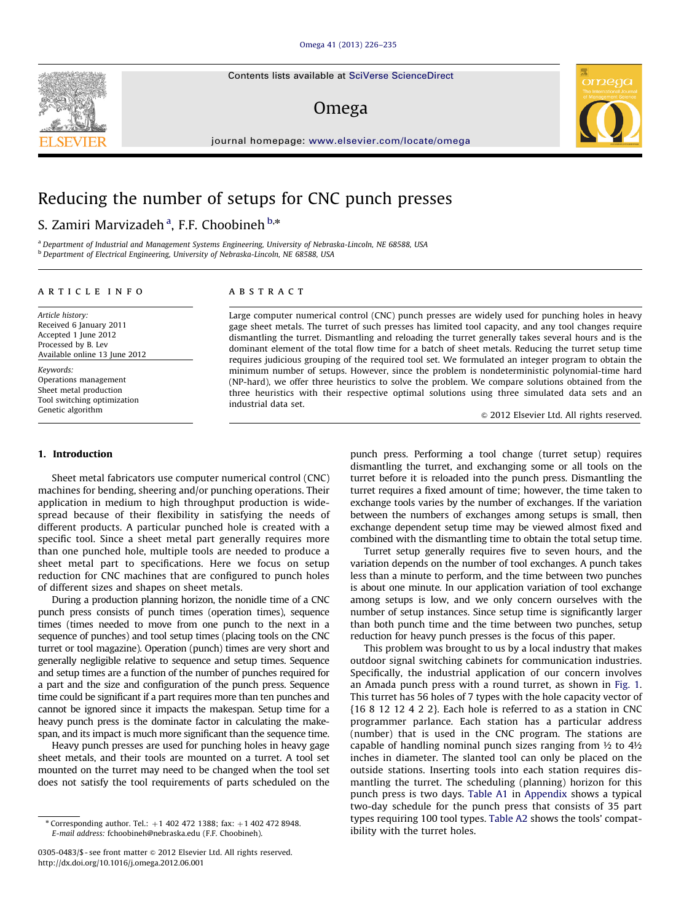Contents lists available at [SciVerse ScienceDirect](www.elsevier.com/locate/omega)

## Omega

journal homepage: <www.elsevier.com/locate/omega>



### S. Zamiri Marvizadeh<sup>a</sup>, F.F. Choobineh <sup>b,</sup>\*

a Department of Industrial and Management Systems Engineering, University of Nebraska-Lincoln, NE 68588, USA <sup>b</sup> Department of Electrical Engineering, University of Nebraska-Lincoln, NE 68588, USA

#### article info

#### **ABSTRACT**

Article history: Received 6 January 2011 Accepted 1 June 2012 Processed by B. Lev Available online 13 June 2012

Keywords: Operations management Sheet metal production Tool switching optimization Genetic algorithm

1. Introduction Sheet metal fabricators use computer numerical control (CNC) machines for bending, sheering and/or punching operations. Their application in medium to high throughput production is widespread because of their flexibility in satisfying the needs of different products. A particular punched hole is created with a specific tool. Since a sheet metal part generally requires more than one punched hole, multiple tools are needed to produce a sheet metal part to specifications. Here we focus on setup reduction for CNC machines that are configured to punch holes

During a production planning horizon, the nonidle time of a CNC punch press consists of punch times (operation times), sequence times (times needed to move from one punch to the next in a sequence of punches) and tool setup times (placing tools on the CNC turret or tool magazine). Operation (punch) times are very short and generally negligible relative to sequence and setup times. Sequence and setup times are a function of the number of punches required for a part and the size and configuration of the punch press. Sequence time could be significant if a part requires more than ten punches and cannot be ignored since it impacts the makespan. Setup time for a heavy punch press is the dominate factor in calculating the makespan, and its impact is much more significant than the sequence time.

of different sizes and shapes on sheet metals.

Heavy punch presses are used for punching holes in heavy gage sheet metals, and their tools are mounted on a turret. A tool set mounted on the turret may need to be changed when the tool set does not satisfy the tool requirements of parts scheduled on the

dismantling the turret. Dismantling and reloading the turret generally takes several hours and is the dominant element of the total flow time for a batch of sheet metals. Reducing the turret setup time requires judicious grouping of the required tool set. We formulated an integer program to obtain the minimum number of setups. However, since the problem is nondeterministic polynomial-time hard (NP-hard), we offer three heuristics to solve the problem. We compare solutions obtained from the three heuristics with their respective optimal solutions using three simulated data sets and an industrial data set.  $\odot$  2012 Elsevier Ltd. All rights reserved.

Large computer numerical control (CNC) punch presses are widely used for punching holes in heavy gage sheet metals. The turret of such presses has limited tool capacity, and any tool changes require

> punch press. Performing a tool change (turret setup) requires dismantling the turret, and exchanging some or all tools on the turret before it is reloaded into the punch press. Dismantling the turret requires a fixed amount of time; however, the time taken to exchange tools varies by the number of exchanges. If the variation between the numbers of exchanges among setups is small, then exchange dependent setup time may be viewed almost fixed and combined with the dismantling time to obtain the total setup time.

> Turret setup generally requires five to seven hours, and the variation depends on the number of tool exchanges. A punch takes less than a minute to perform, and the time between two punches is about one minute. In our application variation of tool exchange among setups is low, and we only concern ourselves with the number of setup instances. Since setup time is significantly larger than both punch time and the time between two punches, setup reduction for heavy punch presses is the focus of this paper.

> This problem was brought to us by a local industry that makes outdoor signal switching cabinets for communication industries. Specifically, the industrial application of our concern involves an Amada punch press with a round turret, as shown in [Fig. 1.](#page-1-0) This turret has 56 holes of 7 types with the hole capacity vector of {16 8 12 12 4 2 2}. Each hole is referred to as a station in CNC programmer parlance. Each station has a particular address (number) that is used in the CNC program. The stations are capable of handling nominal punch sizes ranging from  $\frac{1}{2}$  to  $4\frac{1}{2}$ inches in diameter. The slanted tool can only be placed on the outside stations. Inserting tools into each station requires dismantling the turret. The scheduling (planning) horizon for this punch press is two days. [Table A1](#page--1-0) in [Appendix](#page--1-0) shows a typical two-day schedule for the punch press that consists of 35 part types requiring 100 tool types. [Table A2](#page--1-0) shows the tools' compatibility with the turret holes.





 $*$  Corresponding author. Tel.:  $+1$  402 472 1388; fax:  $+1$  402 472 8948. E-mail address: [fchoobineh@nebraska.edu \(F.F. Choobineh\).](mailto:fchoobineh@nebraska.edu)

<sup>0305-0483/\$ -</sup> see front matter @ 2012 Elsevier Ltd. All rights reserved. [http://dx.doi.org/10.1016/j.omega.2012.06.001](dx.doi.org/10.1016/j.omega.2012.06.001)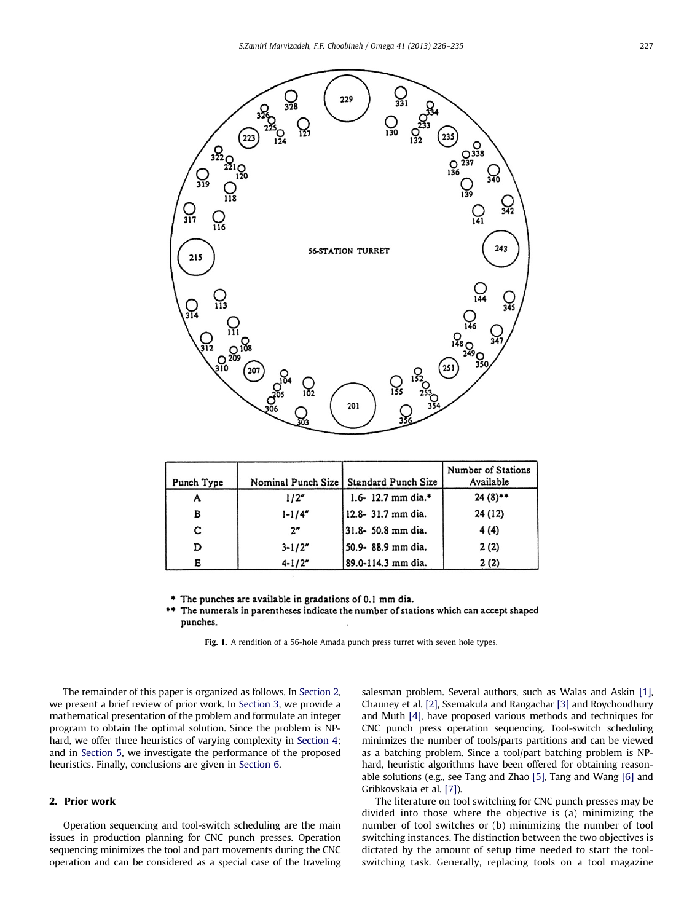<span id="page-1-0"></span>

| Punch Type |             | Nominal Punch Size   Standard Punch Size | Number of Stations<br>Available |
|------------|-------------|------------------------------------------|---------------------------------|
| А          | 1/2"        | 1.6-12.7 mm dia.*                        | $24(8)$ **                      |
| в          | $1 - 1/4''$ | 12.8- 31.7 mm dia.                       | 24 (12)                         |
| с          | 2"          | 31.8- 50.8 mm dia.                       | 4(4)                            |
| D          | $3 - 1/2"$  | 50.9- 88.9 mm dia.                       | 2(2)                            |
| E          | $4 - 1/2"$  | 89.0-114.3 mm dia.                       | 2(2)                            |

\* The punches are available in gradations of 0.1 mm dia.

\*\* The numerals in parentheses indicate the number of stations which can accept shaped punches.

Fig. 1. A rendition of a 56-hole Amada punch press turret with seven hole types.

The remainder of this paper is organized as follows. In Section 2, we present a brief review of prior work. In [Section 3](#page--1-0), we provide a mathematical presentation of the problem and formulate an integer program to obtain the optimal solution. Since the problem is NPhard, we offer three heuristics of varying complexity in [Section 4;](#page--1-0) and in [Section 5,](#page--1-0) we investigate the performance of the proposed heuristics. Finally, conclusions are given in [Section 6](#page--1-0).

#### 2. Prior work

Operation sequencing and tool-switch scheduling are the main issues in production planning for CNC punch presses. Operation sequencing minimizes the tool and part movements during the CNC operation and can be considered as a special case of the traveling salesman problem. Several authors, such as Walas and Askin [\[1\],](#page--1-0) Chauney et al. [\[2\],](#page--1-0) Ssemakula and Rangachar [\[3\]](#page--1-0) and Roychoudhury and Muth [\[4\]](#page--1-0), have proposed various methods and techniques for CNC punch press operation sequencing. Tool-switch scheduling minimizes the number of tools/parts partitions and can be viewed as a batching problem. Since a tool/part batching problem is NPhard, heuristic algorithms have been offered for obtaining reasonable solutions (e.g., see Tang and Zhao [\[5\],](#page--1-0) Tang and Wang [\[6\]](#page--1-0) and Gribkovskaia et al. [\[7\]](#page--1-0)).

The literature on tool switching for CNC punch presses may be divided into those where the objective is (a) minimizing the number of tool switches or (b) minimizing the number of tool switching instances. The distinction between the two objectives is dictated by the amount of setup time needed to start the toolswitching task. Generally, replacing tools on a tool magazine